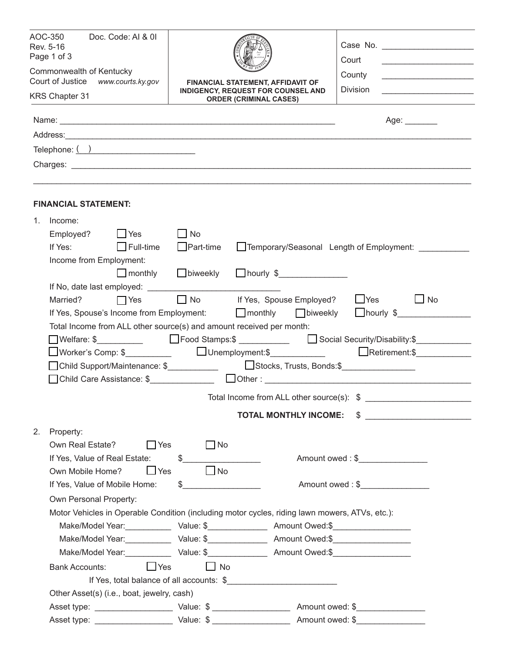| AOC-350<br>Doc. Code: AI & 0I<br>Rev. 5-16<br>Page 1 of 3   |                                                                                                             |                                                                      |                                                                                                          |           |                                          |                                           | Court                                          |                                                                                                                       |  |  |
|-------------------------------------------------------------|-------------------------------------------------------------------------------------------------------------|----------------------------------------------------------------------|----------------------------------------------------------------------------------------------------------|-----------|------------------------------------------|-------------------------------------------|------------------------------------------------|-----------------------------------------------------------------------------------------------------------------------|--|--|
|                                                             | Commonwealth of Kentucky                                                                                    |                                                                      |                                                                                                          |           |                                          | County                                    | <u> 1980 - Jan Barat, martin din shekara t</u> |                                                                                                                       |  |  |
| Court of Justice www.courts.ky.gov<br><b>KRS Chapter 31</b> |                                                                                                             |                                                                      | FINANCIAL STATEMENT, AFFIDAVIT OF<br>INDIGENCY, REQUEST FOR COUNSEL AND<br><b>ORDER (CRIMINAL CASES)</b> |           |                                          |                                           | Division                                       | <u> 1989 - Johann Barbara, martin amerikan basal dan berasal dalam basal dalam basal dalam basal dalam basal dala</u> |  |  |
|                                                             |                                                                                                             |                                                                      |                                                                                                          |           |                                          |                                           |                                                |                                                                                                                       |  |  |
|                                                             |                                                                                                             |                                                                      |                                                                                                          |           |                                          |                                           |                                                | Age: $\_\_$                                                                                                           |  |  |
|                                                             |                                                                                                             |                                                                      |                                                                                                          |           |                                          |                                           |                                                |                                                                                                                       |  |  |
|                                                             | Telephone: $\overline{()}$                                                                                  |                                                                      |                                                                                                          |           |                                          |                                           |                                                |                                                                                                                       |  |  |
|                                                             |                                                                                                             |                                                                      |                                                                                                          |           |                                          |                                           |                                                |                                                                                                                       |  |  |
|                                                             | <b>FINANCIAL STATEMENT:</b>                                                                                 |                                                                      |                                                                                                          |           |                                          |                                           |                                                |                                                                                                                       |  |  |
| 1.                                                          | Income:                                                                                                     |                                                                      |                                                                                                          |           |                                          |                                           |                                                |                                                                                                                       |  |  |
|                                                             |                                                                                                             | Employed? Pres                                                       | $\Box$ No                                                                                                |           |                                          |                                           |                                                |                                                                                                                       |  |  |
|                                                             | If Yes: $\Box$ Full-time                                                                                    |                                                                      | $\Box$ Part-time                                                                                         |           | Temporary/Seasonal Length of Employment: |                                           |                                                |                                                                                                                       |  |  |
|                                                             | Income from Employment:                                                                                     |                                                                      |                                                                                                          |           |                                          |                                           |                                                |                                                                                                                       |  |  |
|                                                             |                                                                                                             | monthly Diweekly nourly \$                                           |                                                                                                          |           |                                          |                                           |                                                |                                                                                                                       |  |  |
|                                                             |                                                                                                             |                                                                      |                                                                                                          |           |                                          |                                           |                                                |                                                                                                                       |  |  |
|                                                             | Married? <b>T</b> Yes                                                                                       |                                                                      |                                                                                                          |           |                                          | □ No lf Yes, Spouse Employed? □ Yes       |                                                | $\Box$ No                                                                                                             |  |  |
|                                                             |                                                                                                             |                                                                      |                                                                                                          |           |                                          |                                           |                                                | If Yes, Spouse's Income from Employment:<br>Thourly \$                                                                |  |  |
|                                                             |                                                                                                             | Total Income from ALL other source(s) and amount received per month: |                                                                                                          |           |                                          |                                           |                                                |                                                                                                                       |  |  |
|                                                             | ■ Welfare: \$____________       Food Stamps:\$ ____________      Social Security/Disability:\$_____________ |                                                                      |                                                                                                          |           |                                          |                                           |                                                |                                                                                                                       |  |  |
|                                                             |                                                                                                             |                                                                      |                                                                                                          |           |                                          |                                           |                                                | □Worker's Comp: \$___________   □ Unemployment:\$_____________    □ Retirement:\$_____________                        |  |  |
|                                                             | □ Child Support/Maintenance: \$<br>□ Stocks, Trusts, Bonds:\$<br>□                                          |                                                                      |                                                                                                          |           |                                          |                                           |                                                |                                                                                                                       |  |  |
|                                                             |                                                                                                             |                                                                      |                                                                                                          |           |                                          |                                           |                                                |                                                                                                                       |  |  |
|                                                             |                                                                                                             |                                                                      |                                                                                                          |           |                                          | Total Income from ALL other source(s): \$ |                                                |                                                                                                                       |  |  |
|                                                             |                                                                                                             |                                                                      |                                                                                                          |           |                                          | <b>TOTAL MONTHLY INCOME:</b>              |                                                |                                                                                                                       |  |  |
| 2.                                                          | Property:                                                                                                   |                                                                      |                                                                                                          |           |                                          |                                           |                                                |                                                                                                                       |  |  |
|                                                             | Own Real Estate?<br>$\Box$ Yes                                                                              |                                                                      |                                                                                                          | $\Box$ No |                                          |                                           |                                                |                                                                                                                       |  |  |
|                                                             | \$<br>If Yes, Value of Real Estate:                                                                         |                                                                      |                                                                                                          |           |                                          |                                           |                                                |                                                                                                                       |  |  |
|                                                             | Own Mobile Home?                                                                                            | $\Box$ Yes                                                           |                                                                                                          | $\Box$ No |                                          |                                           |                                                |                                                                                                                       |  |  |
|                                                             | \$<br>If Yes, Value of Mobile Home:                                                                         |                                                                      |                                                                                                          |           |                                          |                                           | Amount owed: \$                                |                                                                                                                       |  |  |
|                                                             |                                                                                                             | Own Personal Property:                                               |                                                                                                          |           |                                          |                                           |                                                |                                                                                                                       |  |  |
|                                                             | Motor Vehicles in Operable Condition (including motor cycles, riding lawn mowers, ATVs, etc.):              |                                                                      |                                                                                                          |           |                                          |                                           |                                                |                                                                                                                       |  |  |
|                                                             |                                                                                                             |                                                                      |                                                                                                          |           |                                          |                                           |                                                |                                                                                                                       |  |  |
|                                                             |                                                                                                             |                                                                      |                                                                                                          |           |                                          |                                           |                                                |                                                                                                                       |  |  |
|                                                             |                                                                                                             |                                                                      |                                                                                                          |           |                                          |                                           |                                                |                                                                                                                       |  |  |
|                                                             | <b>Bank Accounts:</b>                                                                                       | $\Box$ Yes                                                           |                                                                                                          | $\Box$ No |                                          |                                           |                                                |                                                                                                                       |  |  |
|                                                             | If Yes, total balance of all accounts: \$                                                                   |                                                                      |                                                                                                          |           |                                          |                                           |                                                |                                                                                                                       |  |  |
|                                                             | Other Asset(s) (i.e., boat, jewelry, cash)                                                                  |                                                                      |                                                                                                          |           |                                          |                                           |                                                |                                                                                                                       |  |  |
|                                                             |                                                                                                             |                                                                      |                                                                                                          |           |                                          |                                           |                                                |                                                                                                                       |  |  |
|                                                             |                                                                                                             |                                                                      |                                                                                                          |           |                                          |                                           |                                                | Amount owed: \$                                                                                                       |  |  |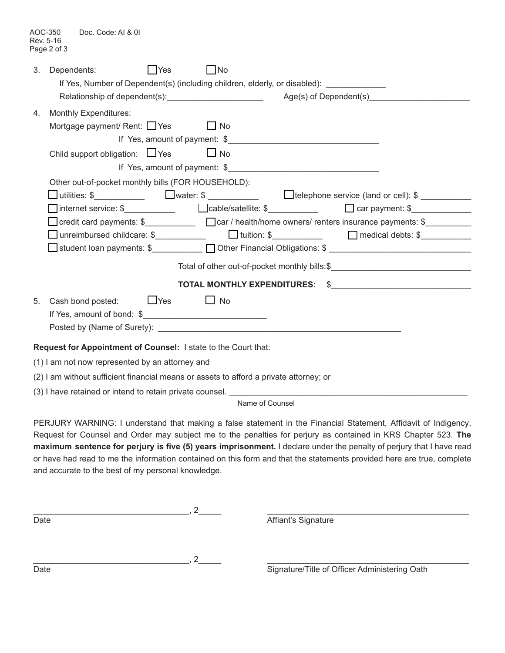| 3. | Dependents:<br><b>PYes</b><br>If Yes, Number of Dependent(s) (including children, elderly, or disabled):                                                                                                                                                                                                          | $\Box$ No |                                                                                                                  |  |  |
|----|-------------------------------------------------------------------------------------------------------------------------------------------------------------------------------------------------------------------------------------------------------------------------------------------------------------------|-----------|------------------------------------------------------------------------------------------------------------------|--|--|
|    |                                                                                                                                                                                                                                                                                                                   |           |                                                                                                                  |  |  |
| 4. | <b>Monthly Expenditures:</b>                                                                                                                                                                                                                                                                                      |           |                                                                                                                  |  |  |
|    | Mortgage payment/ Rent: $\Box$ Yes $\Box$ No                                                                                                                                                                                                                                                                      |           |                                                                                                                  |  |  |
|    |                                                                                                                                                                                                                                                                                                                   |           |                                                                                                                  |  |  |
|    | Child support obligation: □Yes                                                                                                                                                                                                                                                                                    | $\Box$ No |                                                                                                                  |  |  |
|    |                                                                                                                                                                                                                                                                                                                   |           | If Yes, amount of payment: \$                                                                                    |  |  |
|    | Other out-of-pocket monthly bills (FOR HOUSEHOLD):                                                                                                                                                                                                                                                                |           |                                                                                                                  |  |  |
|    |                                                                                                                                                                                                                                                                                                                   |           | □ utilities: \$_____________    □water: \$ ____________         telephone service (land or cell): \$ ___________ |  |  |
|    | internet service: $\frac{1}{2}$ $\frac{1}{2}$ $\frac{1}{2}$ $\frac{1}{2}$ $\frac{1}{2}$ $\frac{1}{2}$ $\frac{1}{2}$ $\frac{1}{2}$ $\frac{1}{2}$ $\frac{1}{2}$ $\frac{1}{2}$ $\frac{1}{2}$ $\frac{1}{2}$ $\frac{1}{2}$ $\frac{1}{2}$ $\frac{1}{2}$ $\frac{1}{2}$ $\frac{1}{2}$ $\frac{1}{2}$ $\frac{1}{2}$ $\frac$ |           |                                                                                                                  |  |  |
|    |                                                                                                                                                                                                                                                                                                                   |           |                                                                                                                  |  |  |
|    | unreimbursed childcare: \$______________  □ tuition: \$____________   □ medical debts: \$____________                                                                                                                                                                                                             |           |                                                                                                                  |  |  |
|    | □ student loan payments: \$ __________ □ Other Financial Obligations: \$ ____________________________                                                                                                                                                                                                             |           |                                                                                                                  |  |  |
|    |                                                                                                                                                                                                                                                                                                                   |           | Total of other out-of-pocket monthly bills: \$                                                                   |  |  |
|    |                                                                                                                                                                                                                                                                                                                   |           |                                                                                                                  |  |  |
| 5. | Cash bond posted: $\Box$ Yes $\Box$ No                                                                                                                                                                                                                                                                            |           |                                                                                                                  |  |  |
|    |                                                                                                                                                                                                                                                                                                                   |           |                                                                                                                  |  |  |
|    |                                                                                                                                                                                                                                                                                                                   |           |                                                                                                                  |  |  |
|    | Request for Appointment of Counsel: I state to the Court that:                                                                                                                                                                                                                                                    |           |                                                                                                                  |  |  |
|    | (1) I am not now represented by an attorney and                                                                                                                                                                                                                                                                   |           |                                                                                                                  |  |  |
|    | (2) I am without sufficient financial means or assets to afford a private attorney; or                                                                                                                                                                                                                            |           |                                                                                                                  |  |  |
|    | (3) I have retained or intend to retain private counsel.                                                                                                                                                                                                                                                          |           |                                                                                                                  |  |  |

Name of Counsel

PERJURY WARNING: I understand that making a false statement in the Financial Statement, Affidavit of Indigency, Request for Counsel and Order may subject me to the penalties for perjury as contained in KRS Chapter 523. **The maximum sentence for perjury is five (5) years imprisonment.** I declare under the penalty of perjury that I have read or have had read to me the information contained on this form and that the statements provided here are true, complete and accurate to the best of my personal knowledge.

| Date | Affiant's Signature                           |
|------|-----------------------------------------------|
|      |                                               |
|      |                                               |
|      |                                               |
| Date | Signature/Title of Officer Administering Oath |